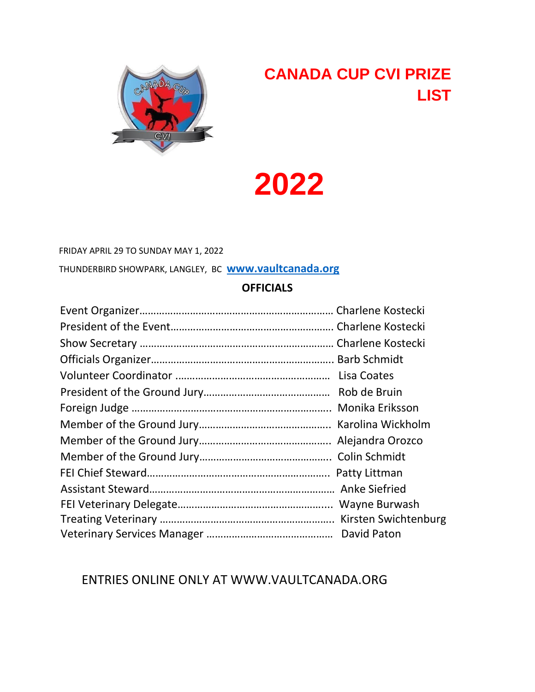

# **CANADA CUP CVI PRIZE LIST**

**2022** 

FRIDAY APRIL 29 TO SUNDAY MAY 1, 2022

THUNDERBIRD SHOWPARK, LANGLEY, BC **[www.vaultcanada.org](http://www.vaultcanada.org/)**

#### **OFFICIALS**

# ENTRIES ONLINE ONLY AT WWW.VAULTCANADA.ORG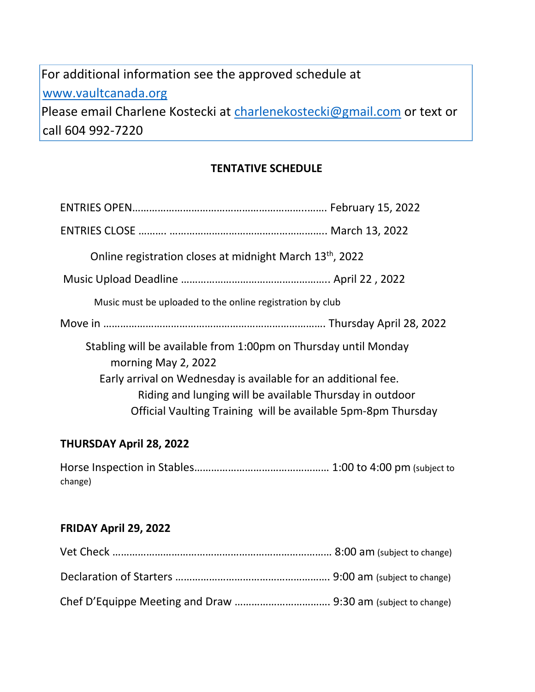# For additional information see the approved schedule at [www.vaultcanada.org](http://www.vaultcanada.org/)  Please email Charlene Kostecki at charlenekostecki@gmail.com or text or call 604 992-7220

**TENTATIVE SCHEDULE** 

|                                                                                        | Online registration closes at midnight March 13 <sup>th</sup> , 2022 |  |
|----------------------------------------------------------------------------------------|----------------------------------------------------------------------|--|
|                                                                                        |                                                                      |  |
|                                                                                        | Music must be uploaded to the online registration by club            |  |
|                                                                                        |                                                                      |  |
| Stabling will be available from 1:00pm on Thursday until Monday<br>morning May 2, 2022 |                                                                      |  |
|                                                                                        | Early arrival on Wednesday is available for an additional fee.       |  |
|                                                                                        | Riding and lunging will be available Thursday in outdoor             |  |
|                                                                                        | Official Vaulting Training will be available 5pm-8pm Thursday        |  |

#### **THURSDAY April 28, 2022**

Horse Inspection in Stables………………………………………… 1:00 to 4:00 pm (subject to change)

#### **FRIDAY April 29, 2022**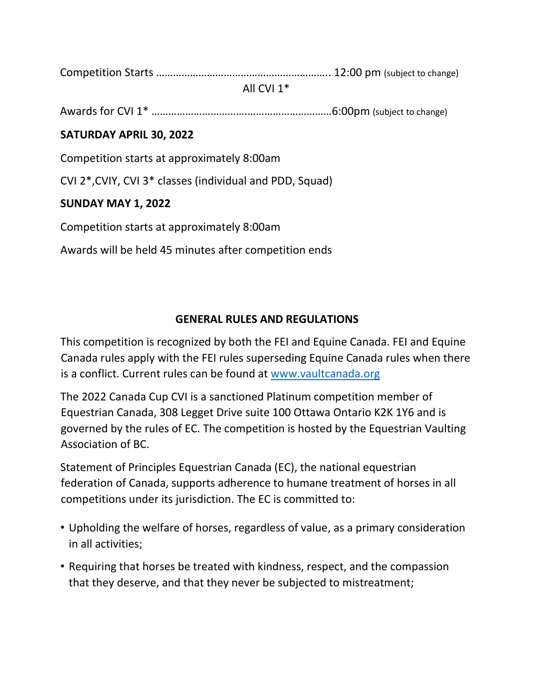Competition Starts …………………………………………………….. 12:00 pm (subject to change)

#### All CVI 1\*

Awards for CVI 1\* …………………………….…………………………6:00pm (subject to change)

# **SATURDAY APRIL 30, 2022**

Competition starts at approximately 8:00am

CVI 2\*,CVIY, CVI 3\* classes (individual and PDD, Squad)

# **SUNDAY MAY 1, 2022**

Competition starts at approximately 8:00am

Awards will be held 45 minutes after competition ends

# **GENERAL RULES AND REGULATIONS**

This competition is recognized by both the FEI and Equine Canada. FEI and Equine Canada rules apply with the FEI rules superseding Equine Canada rules when there is a conflict. Current rules can be found at [www.vaultcanada.org](http://www.vaultcanada.org/) 

The 2022 Canada Cup CVI is a sanctioned Platinum competition member of Equestrian Canada, 308 Legget Drive suite 100 Ottawa Ontario K2K 1Y6 and is governed by the rules of EC. The competition is hosted by the Equestrian Vaulting Association of BC.

Statement of Principles Equestrian Canada (EC), the national equestrian federation of Canada, supports adherence to humane treatment of horses in all competitions under its jurisdiction. The EC is committed to:

- Upholding the welfare of horses, regardless of value, as a primary consideration in all activities;
- Requiring that horses be treated with kindness, respect, and the compassion that they deserve, and that they never be subjected to mistreatment;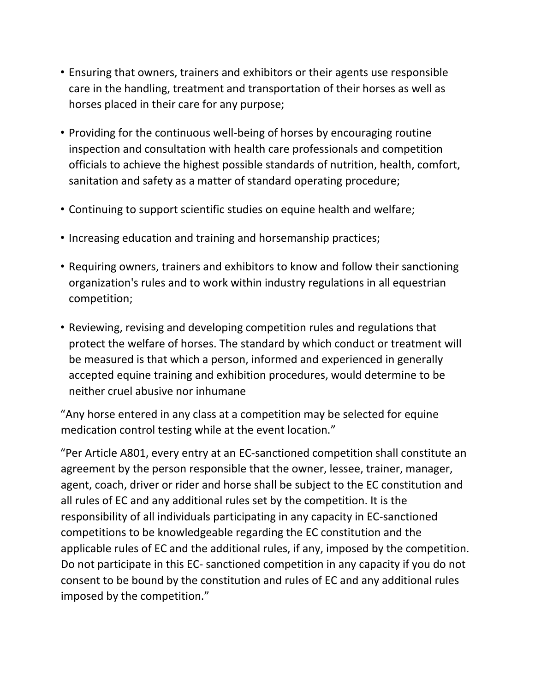- Ensuring that owners, trainers and exhibitors or their agents use responsible care in the handling, treatment and transportation of their horses as well as horses placed in their care for any purpose;
- Providing for the continuous well-being of horses by encouraging routine inspection and consultation with health care professionals and competition officials to achieve the highest possible standards of nutrition, health, comfort, sanitation and safety as a matter of standard operating procedure;
- Continuing to support scientific studies on equine health and welfare;
- Increasing education and training and horsemanship practices;
- Requiring owners, trainers and exhibitors to know and follow their sanctioning organization's rules and to work within industry regulations in all equestrian competition;
- Reviewing, revising and developing competition rules and regulations that protect the welfare of horses. The standard by which conduct or treatment will be measured is that which a person, informed and experienced in generally accepted equine training and exhibition procedures, would determine to be neither cruel abusive nor inhumane

"Any horse entered in any class at a competition may be selected for equine medication control testing while at the event location."

"Per Article A801, every entry at an EC-sanctioned competition shall constitute an agreement by the person responsible that the owner, lessee, trainer, manager, agent, coach, driver or rider and horse shall be subject to the EC constitution and all rules of EC and any additional rules set by the competition. It is the responsibility of all individuals participating in any capacity in EC-sanctioned competitions to be knowledgeable regarding the EC constitution and the applicable rules of EC and the additional rules, if any, imposed by the competition. Do not participate in this EC- sanctioned competition in any capacity if you do not consent to be bound by the constitution and rules of EC and any additional rules imposed by the competition."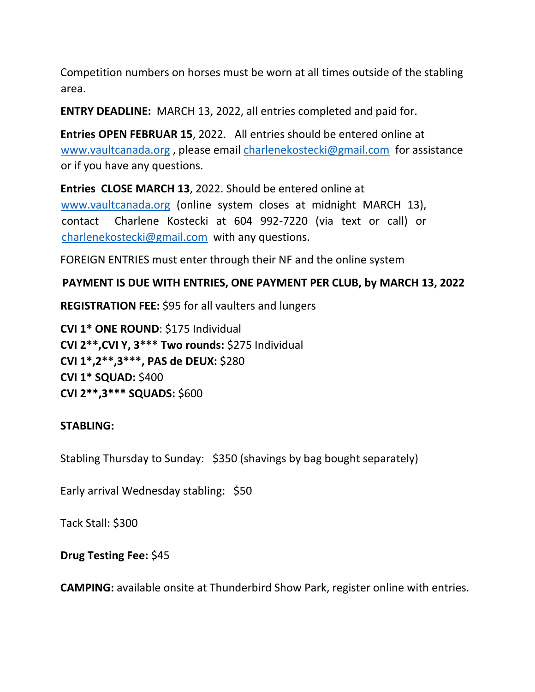Competition numbers on horses must be worn at all times outside of the stabling area.

**ENTRY DEADLINE:** MARCH 13, 2022, all entries completed and paid for.

**Entries OPEN FEBRUAR 15**, 2022. All entries should be entered online at [www.vaultcanada.org](http://www.vaultcanada.org/) [,](http://www.vaultcanada.org/) [ple](http://www.vaultcanada.org/)ase email charlenekostecki@gmail.com for assistance or if you have any questions.

**Entries CLOSE MARCH 13**, 2022. Should be entered online at [www.vaultcanada.org](http://www.vaultcanada.org/) [\(onlin](http://www.vaultcanada.org/)e system closes at midnight MARCH 13), contact Charlene Kostecki at 604 992-7220 (via text or call) or charlenekostecki@gmail.com with any questions.

FOREIGN ENTRIES must enter through their NF and the online system

#### **PAYMENT IS DUE WITH ENTRIES, ONE PAYMENT PER CLUB, by MARCH 13, 2022**

**REGISTRATION FEE:** \$95 for all vaulters and lungers

**CVI 1\* ONE ROUND**: \$175 Individual **CVI 2\*\*,CVI Y, 3\*\*\* Two rounds:** \$275 Individual **CVI 1\*,2\*\*,3\*\*\*, PAS de DEUX:** \$280 **CVI 1\* SQUAD:** \$400 **CVI 2\*\*,3\*\*\* SQUADS:** \$600

#### **STABLING:**

Stabling Thursday to Sunday: \$350 (shavings by bag bought separately)

Early arrival Wednesday stabling: \$50

Tack Stall: \$300

**Drug Testing Fee:** \$45

**CAMPING:** available onsite at Thunderbird Show Park, register online with entries.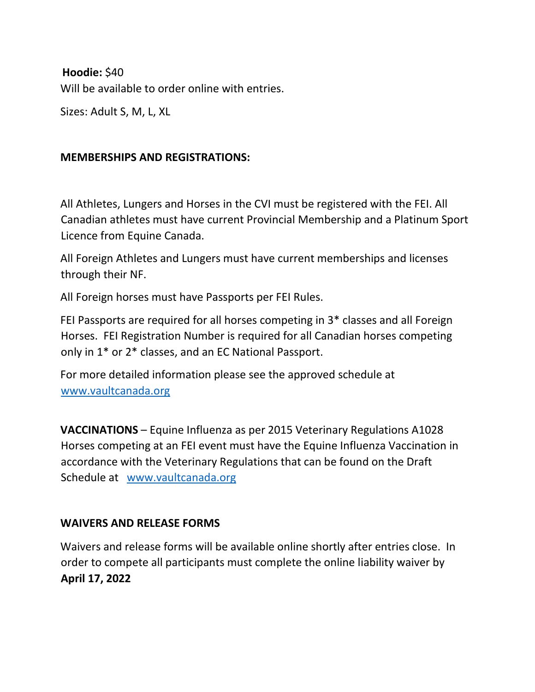# **Hoodie:** \$40

Will be available to order online with entries.

Sizes: Adult S, M, L, XL

### **MEMBERSHIPS AND REGISTRATIONS:**

All Athletes, Lungers and Horses in the CVI must be registered with the FEI. All Canadian athletes must have current Provincial Membership and a Platinum Sport Licence from Equine Canada.

All Foreign Athletes and Lungers must have current memberships and licenses through their NF.

All Foreign horses must have Passports per FEI Rules.

FEI Passports are required for all horses competing in 3\* classes and all Foreign Horses. FEI Registration Number is required for all Canadian horses competing only in 1\* or 2\* classes, and an EC National Passport.

For more detailed information please see the approved schedule at [www.vaultcanada.org](http://www.vaultcanada.org/) 

**VACCINATIONS** – Equine Influenza as per 2015 Veterinary Regulations A1028 Horses competing at an FEI event must have the Equine Influenza Vaccination in accordance with the Veterinary Regulations that can be found on the Draft Schedule at [www.vaultcanada.org](http://www.vaultcanada.org/) 

# **WAIVERS AND RELEASE FORMS**

Waivers and release forms will be available online shortly after entries close. In order to compete all participants must complete the online liability waiver by **April 17, 2022**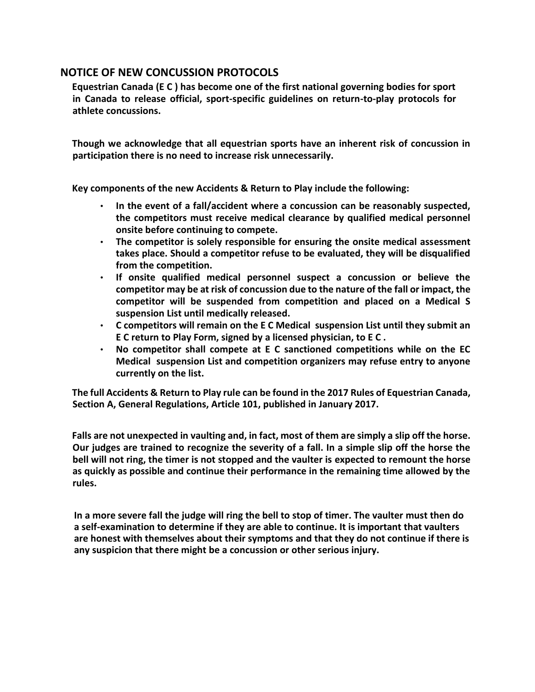#### **NOTICE OF NEW CONCUSSION PROTOCOLS**

**Equestrian Canada (E C ) has become one of the first national governing bodies for sport in Canada to release official, sport-specific guidelines on return-to-play protocols for athlete concussions.** 

**Though we acknowledge that all equestrian sports have an inherent risk of concussion in participation there is no need to increase risk unnecessarily.** 

**Key components of the new Accidents & Return to Play include the following:** 

- **In the event of a fall/accident where a concussion can be reasonably suspected, the competitors must receive medical clearance by qualified medical personnel onsite before continuing to compete.**
- **The competitor is solely responsible for ensuring the onsite medical assessment takes place. Should a competitor refuse to be evaluated, they will be disqualified from the competition.**
- **If onsite qualified medical personnel suspect a concussion or believe the competitor may be at risk of concussion due to the nature of the fall or impact, the competitor will be suspended from competition and placed on a Medical S suspension List until medically released.**
- **C competitors will remain on the E C Medical suspension List until they submit an E C return to Play Form, signed by a licensed physician, to E C .**
- **No competitor shall compete at E C sanctioned competitions while on the EC Medical suspension List and competition organizers may refuse entry to anyone currently on the list.**

**The full Accidents & Return to Play rule can be found in the 2017 Rules of Equestrian Canada, Section A, General Regulations, Article 101, published in January 2017.** 

**Falls are not unexpected in vaulting and, in fact, most of them are simply a slip off the horse. Our judges are trained to recognize the severity of a fall. In a simple slip off the horse the bell will not ring, the timer is not stopped and the vaulter is expected to remount the horse as quickly as possible and continue their performance in the remaining time allowed by the rules.** 

**In a more severe fall the judge will ring the bell to stop of timer. The vaulter must then do a self-examination to determine if they are able to continue. It is important that vaulters are honest with themselves about their symptoms and that they do not continue if there is any suspicion that there might be a concussion or other serious injury.**